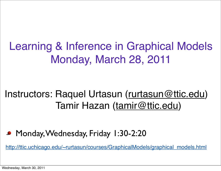Learning & Inference in Graphical Models Monday, March 28, 2011

#### Instructors: Raquel Urtasun [\(rurtasun@ttic.edu\)](mailto:rurtasun@ttic.edu) Tamir Hazan [\(tamir@ttic.edu\)](mailto:tamir@ttic.edu)

#### Monday, Wednesday, Friday 1:30-2:20

[http://ttic.uchicago.edu/~rurtasun/courses/GraphicalModels/graphical\\_models.html](http://ttic.uchicago.edu/~rurtasun/courses/GraphicalModels/graphical_models.html)

Wednesday, March 30, 2011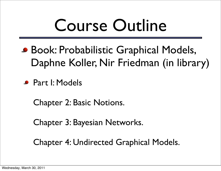### Course Outline

**Book: Probabilistic Graphical Models,** Daphne Koller, Nir Friedman (in library)

Part I: Models

Chapter 2: Basic Notions.

Chapter 3: Bayesian Networks.

Chapter 4: Undirected Graphical Models.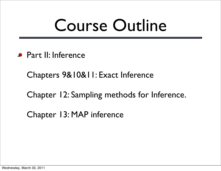#### Course Outline

**Part II: Inference** 

Chapters 9&10&11: Exact Inference

Chapter 12: Sampling methods for Inference.

Chapter 13: MAP inference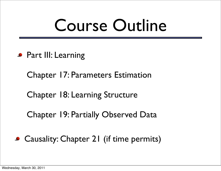#### Course Outline

**•** Part III: Learning

Chapter 17: Parameters Estimation

Chapter 18: Learning Structure

Chapter 19: Partially Observed Data

Causality: Chapter 21 (if time permits)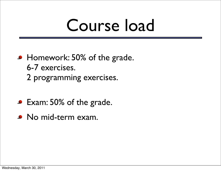#### Course load

- Homework: 50% of the grade. 6-7 exercises. 2 programming exercises.
- Exam: 50% of the grade.
- No mid-term exam.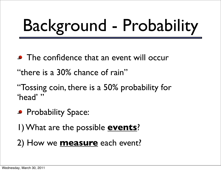# Background - Probability

- The confidence that an event will occur
- "there is a 30% chance of rain"
- "Tossing coin, there is a 50% probability for 'head' "
- **Probability Space:**
- 1) What are the possible **events**?
- 2) How we **measure** each event?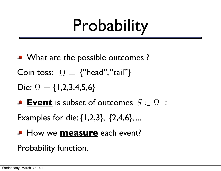## Probability

- What are the possible outcomes? Coin toss:  $\Omega = \{$ "head", "tail"} Die:  $\Omega = \{1, 2, 3, 4, 5, 6\}$
- **Event** is subset of outcomes  $S \subset \Omega$ :

Examples for die:  $\{1,2,3\}$ ,  $\{2,4,6\}$ , ...

How we **measure** each event?

Probability function.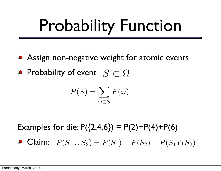# Probability Function

- **Assign non-negative weight for atomic events**
- Probability of event *S* ⊂ Ω

$$
P(S) = \sum_{\omega \in S} P(\omega)
$$

Examples for die:  $P({2,4,6}) = P(2)+P(4)+P(6)$ 

Claim:  $P(S_1 \cup S_2) = P(S_1) + P(S_2) - P(S_1 \cap S_2)$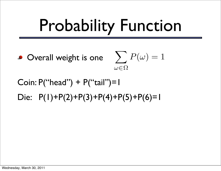# Probability Function

**• Overall weight is one** 

$$
\sum_{\omega \in \Omega} P(\omega) = 1
$$

- Coin:  $P("head") + P("tail") = I$
- Die: P(1)+P(2)+P(3)+P(4)+P(5)+P(6)=1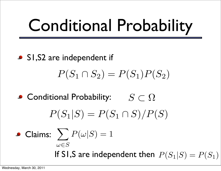# Conditional Probability

- **S1, S2** are independent if  $P(S_1 \cap S_2) = P(S_1)P(S_2)$
- Claims: If S1,S are independent then  $P(S_1|S) = P(S_1)$ Conditional Probability: *S* ⊂ Ω  $P(S_1|S) = P(S_1 \cap S)/P(S)$  $\sum$ ω∈*S*  $P(\omega|S)=1$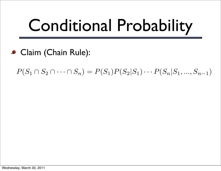# Conditional Probability

Claim (Chain Rule):

 $P(S_1 \cap S_2 \cap \cdots \cap S_n) = P(S_1)P(S_2|S_1)\cdots P(S_n|S_1, ..., S_{n-1})$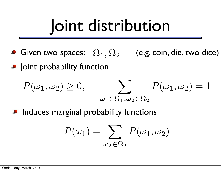# Joint distribution

- Given two spaces:  $\,\Omega_1,\Omega_2\,\quad$  (e.g. coin, die, two dice)
- **•** Joint probability function

$$
P(\omega_1, \omega_2) \ge 0, \qquad \sum_{\omega_1 \in \Omega_1, \omega_2 \in \Omega_2} P(\omega_1, \omega_2) = 1
$$

**Induces marginal probability functions** 

$$
P(\omega_1) = \sum_{\omega_2 \in \Omega_2} P(\omega_1, \omega_2)
$$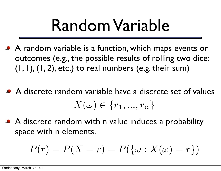#### Random Variable

- A random variable is a function, which maps events or outcomes (e.g., the possible results of rolling two dice:  $(1, 1), (1, 2),$  etc.) to real numbers (e.g. their sum)
- A discrete random variable have a discrete set of values  $X(\omega) \in \{r_1, ..., r_n\}$
- A discrete random with n value induces a probability space with n elements.

$$
P(r) = P(X = r) = P(\{\omega : X(\omega) = r\})
$$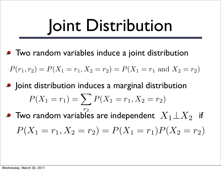## Joint Distribution

Two random variables induce a joint distribution

 $P(r_1, r_2) = P(X_1 = r_1, X_2 = r_2) = P(X_1 = r_1 \text{ and } X_2 = r_2)$ 

Two random variables are independent  $X_1\bot X_2$  if  $P(X_1 = r_1, X_2 = r_2) = P(X_1 = r_1)P(X_2 = r_2)$ • Joint distribution induces a marginal distribution  $P(X_1 = r_1) = \sum P(X_1 = r_1, X_2 = r_2)$ *r*2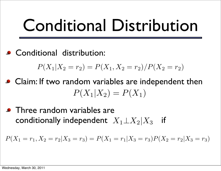### Conditional Distribution

Conditional distribution:

$$
P(X_1|X_2 = r_2) = P(X_1, X_2 = r_2) / P(X_2 = r_2)
$$

- Claim: If two random variables are independent then  $P(X_1|X_2) = P(X_1)$
- **Three random variables are** conditionally independent if *X*1⊥*X*2*|X*<sup>3</sup>

 $P(X_1 = r_1, X_2 = r_2 | X_3 = r_3) = P(X_1 = r_1 | X_3 = r_3) P(X_2 = r_2 | X_3 = r_3)$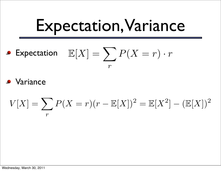#### Expectation, Variance

- $\mathsf{Expectation}$   $\mathbb{E}[X] = \sum$ *r*  $P(X = r) \cdot r$
- **Variance**

$$
V[X] = \sum_{r} P(X = r)(r - \mathbb{E}[X])^{2} = \mathbb{E}[X^{2}] - (\mathbb{E}[X])^{2}
$$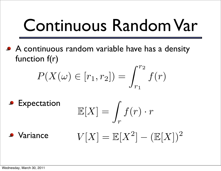#### Continuous Random Var

A continuous random variable have has a density function f(r)

$$
P(X(\omega) \in [r_1, r_2]) = \int_{r_1}^{r_2} f(r)
$$

- **•** Expectation  $\mathbb{E}[X] = |$ *r*  $f(r) \cdot r$
- **•** Variance  $V[X] = \mathbb{E}[X^2] - (\mathbb{E}[X])^2$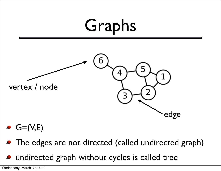

 $\bullet$  G=(V,E)

- The edges are not directed (called undirected graph)
- undirected graph without cycles is called tree

Wednesday, March 30, 2011